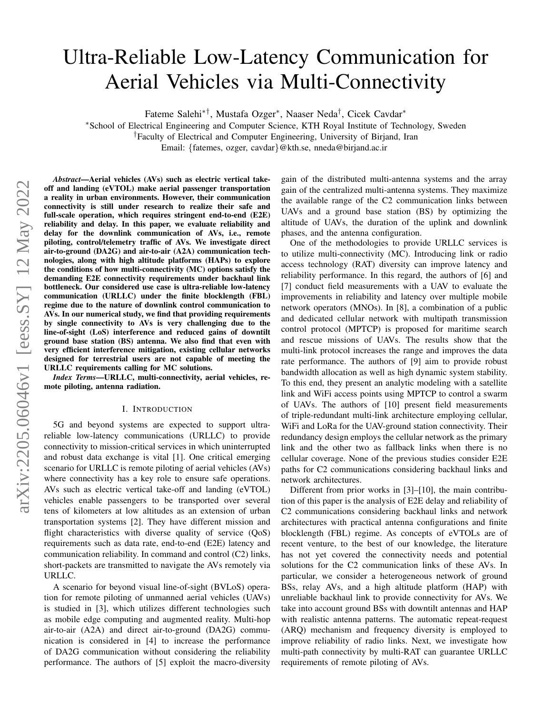# Ultra-Reliable Low-Latency Communication for Aerial Vehicles via Multi-Connectivity

Fateme Salehi∗†, Mustafa Ozger<sup>∗</sup> , Naaser Neda† , Cicek Cavdar<sup>∗</sup>

<sup>∗</sup>School of Electrical Engineering and Computer Science, KTH Royal Institute of Technology, Sweden

†Faculty of Electrical and Computer Engineering, University of Birjand, Iran

Email: {fatemes, ozger, cavdar}@kth.se, nneda@birjand.ac.ir

*Abstract*—Aerial vehicles (AVs) such as electric vertical takeoff and landing (eVTOL) make aerial passenger transportation a reality in urban environments. However, their communication connectivity is still under research to realize their safe and full-scale operation, which requires stringent end-to-end (E2E) reliability and delay. In this paper, we evaluate reliability and delay for the downlink communication of AVs, i.e., remote piloting, control/telemetry traffic of AVs. We investigate direct air-to-ground (DA2G) and air-to-air (A2A) communication technologies, along with high altitude platforms (HAPs) to explore the conditions of how multi-connectivity (MC) options satisfy the demanding E2E connectivity requirements under backhaul link bottleneck. Our considered use case is ultra-reliable low-latency communication (URLLC) under the finite blocklength (FBL) regime due to the nature of downlink control communication to AVs. In our numerical study, we find that providing requirements by single connectivity to AVs is very challenging due to the line-of-sight (LoS) interference and reduced gains of downtilt ground base station (BS) antenna. We also find that even with very efficient interference mitigation, existing cellular networks designed for terrestrial users are not capable of meeting the URLLC requirements calling for MC solutions.

*Index Terms*—URLLC, multi-connectivity, aerial vehicles, remote piloting, antenna radiation.

#### I. INTRODUCTION

5G and beyond systems are expected to support ultrareliable low-latency communications (URLLC) to provide connectivity to mission-critical services in which uninterrupted and robust data exchange is vital [1]. One critical emerging scenario for URLLC is remote piloting of aerial vehicles (AVs) where connectivity has a key role to ensure safe operations. AVs such as electric vertical take-off and landing (eVTOL) vehicles enable passengers to be transported over several tens of kilometers at low altitudes as an extension of urban transportation systems [2]. They have different mission and flight characteristics with diverse quality of service (QoS) requirements such as data rate, end-to-end (E2E) latency and communication reliability. In command and control (C2) links, short-packets are transmitted to navigate the AVs remotely via URLLC.

A scenario for beyond visual line-of-sight (BVLoS) operation for remote piloting of unmanned aerial vehicles (UAVs) is studied in [3], which utilizes different technologies such as mobile edge computing and augmented reality. Multi-hop air-to-air (A2A) and direct air-to-ground (DA2G) communication is considered in [4] to increase the performance of DA2G communication without considering the reliability performance. The authors of [5] exploit the macro-diversity gain of the distributed multi-antenna systems and the array gain of the centralized multi-antenna systems. They maximize the available range of the C2 communication links between UAVs and a ground base station (BS) by optimizing the altitude of UAVs, the duration of the uplink and downlink phases, and the antenna configuration.

One of the methodologies to provide URLLC services is to utilize multi-connectivity (MC). Introducing link or radio access technology (RAT) diversity can improve latency and reliability performance. In this regard, the authors of [6] and [7] conduct field measurements with a UAV to evaluate the improvements in reliability and latency over multiple mobile network operators (MNOs). In [8], a combination of a public and dedicated cellular network with multipath transmission control protocol (MPTCP) is proposed for maritime search and rescue missions of UAVs. The results show that the multi-link protocol increases the range and improves the data rate performance. The authors of [9] aim to provide robust bandwidth allocation as well as high dynamic system stability. To this end, they present an analytic modeling with a satellite link and WiFi access points using MPTCP to control a swarm of UAVs. The authors of [10] present field measurements of triple-redundant multi-link architecture employing cellular, WiFi and LoRa for the UAV-ground station connectivity. Their redundancy design employs the cellular network as the primary link and the other two as fallback links when there is no cellular coverage. None of the previous studies consider E2E paths for C2 communications considering backhaul links and network architectures.

Different from prior works in [3]–[10], the main contribution of this paper is the analysis of E2E delay and reliability of C2 communications considering backhaul links and network architectures with practical antenna configurations and finite blocklength (FBL) regime. As concepts of eVTOLs are of recent venture, to the best of our knowledge, the literature has not yet covered the connectivity needs and potential solutions for the C2 communication links of these AVs. In particular, we consider a heterogeneous network of ground BSs, relay AVs, and a high altitude platform (HAP) with unreliable backhaul link to provide connectivity for AVs. We take into account ground BSs with downtilt antennas and HAP with realistic antenna patterns. The automatic repeat-request (ARQ) mechanism and frequency diversity is employed to improve reliability of radio links. Next, we investigate how multi-path connectivity by multi-RAT can guarantee URLLC requirements of remote piloting of AVs.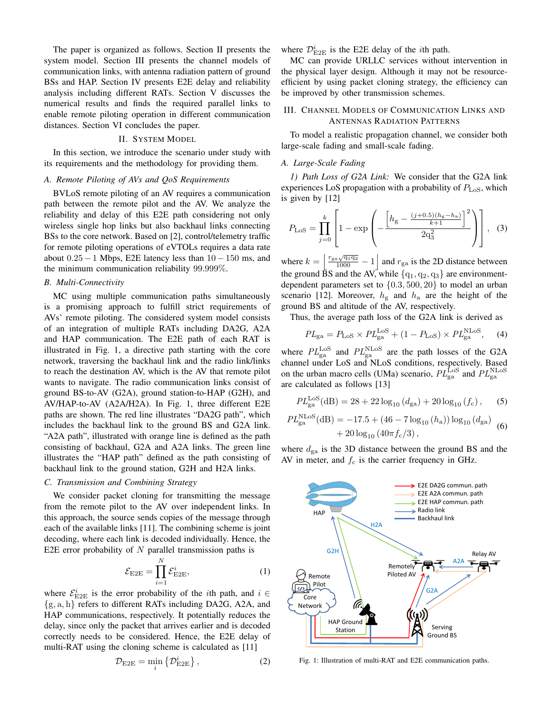The paper is organized as follows. Section II presents the system model. Section III presents the channel models of communication links, with antenna radiation pattern of ground BSs and HAP. Section IV presents E2E delay and reliability analysis including different RATs. Section V discusses the numerical results and finds the required parallel links to enable remote piloting operation in different communication distances. Section VI concludes the paper.

## II. SYSTEM MODEL

In this section, we introduce the scenario under study with its requirements and the methodology for providing them.

#### *A. Remote Piloting of AVs and QoS Requirements*

BVLoS remote piloting of an AV requires a communication path between the remote pilot and the AV. We analyze the reliability and delay of this E2E path considering not only wireless single hop links but also backhaul links connecting BSs to the core network. Based on [2], control/telemetry traffic for remote piloting operations of eVTOLs requires a data rate about  $0.25-1$  Mbps, E2E latency less than  $10-150$  ms, and the minimum communication reliability 99.999%.

## *B. Multi-Connectivity*

MC using multiple communication paths simultaneously is a promising approach to fulfill strict requirements of AVs' remote piloting. The considered system model consists of an integration of multiple RATs including DA2G, A2A and HAP communication. The E2E path of each RAT is illustrated in Fig. 1, a directive path starting with the core network, traversing the backhaul link and the radio link/links to reach the destination AV, which is the AV that remote pilot wants to navigate. The radio communication links consist of ground BS-to-AV (G2A), ground station-to-HAP (G2H), and AV/HAP-to-AV (A2A/H2A). In Fig. 1, three different E2E paths are shown. The red line illustrates "DA2G path", which includes the backhaul link to the ground BS and G2A link. "A2A path", illustrated with orange line is defined as the path consisting of backhaul, G2A and A2A links. The green line illustrates the "HAP path" defined as the path consisting of backhaul link to the ground station, G2H and H2A links.

#### *C. Transmission and Combining Strategy*

We consider packet cloning for transmitting the message from the remote pilot to the AV over independent links. In this approach, the source sends copies of the message through each of the available links [11]. The combining scheme is joint decoding, where each link is decoded individually. Hence, the E2E error probability of  $N$  parallel transmission paths is

$$
\mathcal{E}_{\rm E2E} = \prod_{i=1}^{N} \mathcal{E}_{\rm E2E}^{i},\tag{1}
$$

where  $\mathcal{E}_{\text{E2E}}^i$  is the error probability of the *i*th path, and *i*  $\in$ {g, a, h} refers to different RATs including DA2G, A2A, and HAP communications, respectively. It potentially reduces the delay, since only the packet that arrives earlier and is decoded correctly needs to be considered. Hence, the E2E delay of multi-RAT using the cloning scheme is calculated as [11]

$$
\mathcal{D}_{\rm E2E} = \min_{i} \left\{ \mathcal{D}_{\rm E2E}^{i} \right\},\tag{2}
$$

where  $\mathcal{D}_{\text{E2E}}^i$  is the E2E delay of the *i*th path.

MC can provide URLLC services without intervention in the physical layer design. Although it may not be resourceefficient by using packet cloning strategy, the efficiency can be improved by other transmission schemes.

# III. CHANNEL MODELS OF COMMUNICATION LINKS AND ANTENNAS RADIATION PATTERNS

To model a realistic propagation channel, we consider both large-scale fading and small-scale fading.

# *A. Large-Scale Fading*

*1) Path Loss of G2A Link:* We consider that the G2A link experiences LoS propagation with a probability of  $P_{\text{LoS}}$ , which is given by [12]

$$
P_{\text{LoS}} = \prod_{j=0}^{k} \left[ 1 - \exp\left( -\frac{\left[ h_{\text{g}} - \frac{(j+0.5)(h_{\text{g}} - h_{\text{a}})}{k+1} \right]^2}{2q_3^2} \right) \right], \quad (3)
$$

where  $k = \left| \frac{r_{\text{ga}}\sqrt{q_1q_2}}{1000} - 1 \right|$  and  $r_{\text{ga}}$  is the 2D distance between the ground  $\bar{B}S$  and the AV, while  $\{q_1, q_2, q_3\}$  are environmentdependent parameters set to {0.3, 500, 20} to model an urban scenario [12]. Moreover,  $h<sub>g</sub>$  and  $h<sub>a</sub>$  are the height of the ground BS and altitude of the AV, respectively.

Thus, the average path loss of the G2A link is derived as

$$
PL_{\rm ga} = P_{\rm LoS} \times PL_{\rm ga}^{\rm LoS} + (1 - P_{\rm LoS}) \times PL_{\rm ga}^{\rm NLoS}, \quad (4)
$$

where  $PL_{\text{ga}}^{\text{LoS}}$  and  $PL_{\text{ga}}^{\text{NLoS}}$  are the path losses of the G2A channel under LoS and NLoS conditions, respectively. Based on the urban macro cells (UMa) scenario,  $PL_{\text{ga}}^{\text{LoS}}$  and  $PL_{\text{ga}}^{\text{NLoS}}$ are calculated as follows [13]

$$
PL_{\text{ga}}^{\text{LoS}}(\text{dB}) = 28 + 22\log_{10}(d_{\text{ga}}) + 20\log_{10}(f_{\text{c}}), \quad (5)
$$

$$
PL_{\text{ga}}^{\text{NLoS}}(\text{dB}) = -17.5 + (46 - 7 \log_{10} (h_a)) \log_{10} (d_{\text{ga}}) + 20 \log_{10} (40\pi f_c/3), \tag{6}
$$

where  $d_{\text{ga}}$  is the 3D distance between the ground BS and the AV in meter, and  $f_c$  is the carrier frequency in GHz.



Fig. 1: Illustration of multi-RAT and E2E communication paths.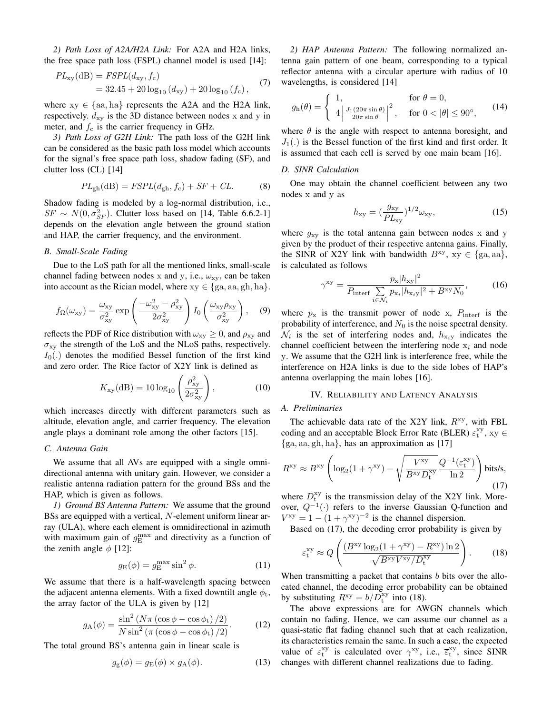*2) Path Loss of A2A/H2A Link:* For A2A and H2A links, the free space path loss (FSPL) channel model is used [14]:

$$
PL_{xy}(dB) = FSPL(d_{xy}, f_c)
$$
  
= 32.45 + 20 log<sub>10</sub> (d<sub>xy</sub>) + 20 log<sub>10</sub> (f<sub>c</sub>), (7)

where  $xy \in \{aa, ha\}$  represents the A2A and the H2A link, respectively.  $d_{xy}$  is the 3D distance between nodes x and y in meter, and  $f_c$  is the carrier frequency in GHz.

*3) Path Loss of G2H Link:* The path loss of the G2H link can be considered as the basic path loss model which accounts for the signal's free space path loss, shadow fading (SF), and clutter loss (CL) [14]

$$
PL_{\rm gh}(\text{dB}) = FSPL(d_{\rm gh}, f_{\rm c}) + SF + CL.
$$
 (8)

Shadow fading is modeled by a log-normal distribution, i.e.,  $SF \sim N(0, \sigma_{SF}^2)$ . Clutter loss based on [14, Table 6.6.2-1] depends on the elevation angle between the ground station and HAP, the carrier frequency, and the environment.

## *B. Small-Scale Fading*

Due to the LoS path for all the mentioned links, small-scale channel fading between nodes x and y, i.e.,  $\omega_{xy}$ , can be taken into account as the Rician model, where  $xy \in \{ga, aa, gh, ha\}.$ 

$$
f_{\Omega}(\omega_{xy}) = \frac{\omega_{xy}}{\sigma_{xy}^2} \exp\left(\frac{-\omega_{xy}^2 - \rho_{xy}^2}{2\sigma_{xy}^2}\right) I_0\left(\frac{\omega_{xy}\rho_{xy}}{\sigma_{xy}^2}\right), \quad (9)
$$

reflects the PDF of Rice distribution with  $\omega_{xy} \geq 0$ , and  $\rho_{xy}$  and  $\sigma_{xy}$  the strength of the LoS and the NLoS paths, respectively.  $I_0(.)$  denotes the modified Bessel function of the first kind and zero order. The Rice factor of X2Y link is defined as

$$
K_{\rm xy}(\text{dB}) = 10 \log_{10} \left( \frac{\rho_{\rm xy}^2}{2\sigma_{\rm xy}^2} \right),\tag{10}
$$

which increases directly with different parameters such as altitude, elevation angle, and carrier frequency. The elevation angle plays a dominant role among the other factors [15].

#### *C. Antenna Gain*

We assume that all AVs are equipped with a single omnidirectional antenna with unitary gain. However, we consider a realistic antenna radiation pattern for the ground BSs and the HAP, which is given as follows.

*1) Ground BS Antenna Pattern:* We assume that the ground BSs are equipped with a vertical, N-element uniform linear array (ULA), where each element is omnidirectional in azimuth with maximum gain of  $g_{\rm E}^{\rm max}$  and directivity as a function of the zenith angle  $\phi$  [12]:

$$
g_{\mathcal{E}}(\phi) = g_{\mathcal{E}}^{\max} \sin^2 \phi.
$$
 (11)

We assume that there is a half-wavelength spacing between the adjacent antenna elements. With a fixed downtilt angle  $\phi_t$ , the array factor of the ULA is given by [12]

$$
g_{A}(\phi) = \frac{\sin^{2} (N\pi (\cos \phi - \cos \phi_{t})/2)}{N \sin^{2} (\pi (\cos \phi - \cos \phi_{t})/2)}.
$$
 (12)

The total ground BS's antenna gain in linear scale is

$$
g_{\rm g}(\phi) = g_{\rm E}(\phi) \times g_{\rm A}(\phi). \tag{13}
$$

*2) HAP Antenna Pattern:* The following normalized antenna gain pattern of one beam, corresponding to a typical reflector antenna with a circular aperture with radius of 10 wavelengths, is considered [14]

$$
g_{\rm h}(\theta) = \begin{cases} 1, & \text{for } \theta = 0, \\ 4 \left| \frac{J_1(20\pi \sin \theta)}{20\pi \sin \theta} \right|^2, & \text{for } 0 < |\theta| \le 90^\circ, \end{cases} \tag{14}
$$

where  $\theta$  is the angle with respect to antenna boresight, and  $J_1(.)$  is the Bessel function of the first kind and first order. It is assumed that each cell is served by one main beam [16].

#### *D. SINR Calculation*

One may obtain the channel coefficient between any two nodes x and y as

$$
h_{xy} = \left(\frac{g_{xy}}{PL_{xy}}\right)^{1/2} \omega_{xy},\tag{15}
$$

where  $g_{xy}$  is the total antenna gain between nodes x and y given by the product of their respective antenna gains. Finally, the SINR of X2Y link with bandwidth  $B^{xy}$ ,  $xy \in \{ga, aa\}$ , is calculated as follows

$$
\gamma^{xy} = \frac{p_x |h_{xy}|^2}{P_{\text{interf}} \sum_{i \in \mathcal{N}_i} p_{x_i} |h_{x_i y}|^2 + B^{xy} N_0},\tag{16}
$$

where  $p_x$  is the transmit power of node x,  $P_{\text{interf}}$  is the probability of interference, and  $N_0$  is the noise spectral density.  $\mathcal{N}_i$  is the set of interfering nodes and,  $h_{x_iy}$  indicates the channel coefficient between the interfering node  $x_i$  and node y. We assume that the G2H link is interference free, while the interference on H2A links is due to the side lobes of HAP's antenna overlapping the main lobes [16].

#### IV. RELIABILITY AND LATENCY ANALYSIS

#### *A. Preliminaries*

The achievable data rate of the X2Y link,  $R^{xy}$ , with FBL coding and an acceptable Block Error Rate (BLER)  $\varepsilon_t^{xy}$ ,  $xy \in$ {ga, aa, gh, ha}, has an approximation as [17]

$$
R^{\rm xy} \approx B^{\rm xy} \left( \log_2(1 + \gamma^{\rm xy}) - \sqrt{\frac{V^{\rm xy}}{B^{\rm xy} D_{\rm t}^{\rm xy}}} \frac{Q^{-1}(\varepsilon_{\rm t}^{\rm xy})}{\ln 2} \right) \text{bits/s},\tag{17}
$$

where  $D_t^{xy}$  is the transmission delay of the X2Y link. Moreover,  $Q^{-1}(\cdot)$  refers to the inverse Gaussian Q-function and  $V^{xy} = 1 - (1 + \gamma^{xy})^{-2}$  is the channel dispersion.

Based on (17), the decoding error probability is given by

$$
\varepsilon_t^{\text{xy}} \approx Q\left(\frac{\left(B^{\text{xy}}\log_2(1+\gamma^{\text{xy}})-R^{\text{xy}}\right)\ln 2}{\sqrt{B^{\text{xy}}V^{\text{xy}}/D_t^{\text{xy}}}}\right). \tag{18}
$$

When transmitting a packet that contains  $b$  bits over the allocated channel, the decoding error probability can be obtained by substituting  $R^{xy} = b/D_t^{xy}$  into (18).

The above expressions are for AWGN channels which contain no fading. Hence, we can assume our channel as a quasi-static flat fading channel such that at each realization, its characteristics remain the same. In such a case, the expected value of  $\varepsilon_t^{xy}$  is calculated over  $\gamma^{xy}$ , i.e.,  $\overline{\varepsilon_t^{xy}}$ , since SINR changes with different channel realizations due to fading.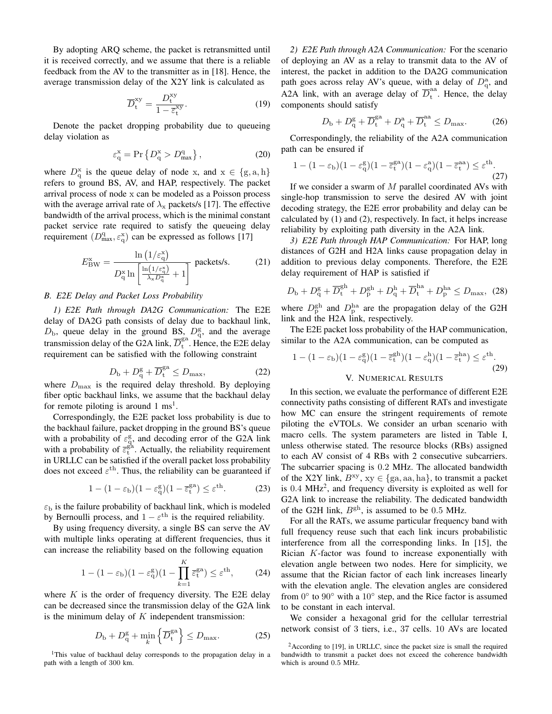By adopting ARQ scheme, the packet is retransmitted until it is received correctly, and we assume that there is a reliable feedback from the AV to the transmitter as in [18]. Hence, the average transmission delay of the X2Y link is calculated as

$$
\overline{D}_{t}^{xy} = \frac{D_{t}^{xy}}{1 - \overline{\varepsilon}_{t}^{xy}}.
$$
\n(19)

Denote the packet dropping probability due to queueing delay violation as

$$
\varepsilon_{\mathbf{q}}^{\mathbf{x}} = \Pr\left\{ D_{\mathbf{q}}^{\mathbf{x}} > D_{\max}^{\mathbf{q}} \right\},\tag{20}
$$

where  $D_q^x$  is the queue delay of node x, and  $x \in \{g, a, h\}$ refers to ground BS, AV, and HAP, respectively. The packet arrival process of node x can be modeled as a Poisson process with the average arrival rate of  $\lambda_x$  packets/s [17]. The effective bandwidth of the arrival process, which is the minimal constant packet service rate required to satisfy the queueing delay requirement  $(D_{\text{max}}^q, \varepsilon_q^x)$  can be expressed as follows [17]

$$
E_{\rm BW}^{\rm x} = \frac{\ln\left(1/\varepsilon_{\rm q}^{\rm x}\right)}{D_{\rm q}^{\rm x} \ln\left[\frac{\ln\left(1/\varepsilon_{\rm q}^{\rm x}\right)}{\lambda_{\rm x} D_{\rm q}^{\rm x}} + 1\right]}
$$
 packets/s. (21)

## *B. E2E Delay and Packet Loss Probability*

*1) E2E Path through DA2G Communication:* The E2E delay of DA2G path consists of delay due to backhaul link,  $D_{\rm b}$ , queue delay in the ground BS,  $D_{\rm q}^{\rm g}$ , and the average transmission delay of the G2A link,  $\overline{D}_{t}^{\text{ga}}$  $t^{\text{eq}}$ . Hence, the E2E delay requirement can be satisfied with the following constraint

$$
D_{\rm b} + D_{\rm q}^{\rm g} + \overline{D}_{\rm t}^{\rm ga} \le D_{\rm max},\tag{22}
$$

where  $D_{\text{max}}$  is the required delay threshold. By deploying fiber optic backhaul links, we assume that the backhaul delay for remote piloting is around  $1 \text{ ms}^1$ .

Correspondingly, the E2E packet loss probability is due to the backhaul failure, packet dropping in the ground BS's queue with a probability of  $\varepsilon_{\rm q}^{\rm g}$ , and decoding error of the G2A link with a probability of  $\bar{\epsilon}_{t}^{\bar{g}A}$ . Actually, the reliability requirement in URLLC can be satisfied if the overall packet loss probability does not exceed  $\varepsilon^{\text{th}}$ . Thus, the reliability can be guaranteed if

$$
1 - (1 - \varepsilon_{\rm b})(1 - \varepsilon_{\rm q}^{\rm g})(1 - \overline{\varepsilon}_{\rm t}^{\rm ga}) \le \varepsilon^{\rm th}.\tag{23}
$$

 $\varepsilon_{\rm b}$  is the failure probability of backhaul link, which is modeled by Bernoulli process, and  $1 - \varepsilon^{th}$  is the required reliability.

By using frequency diversity, a single BS can serve the AV with multiple links operating at different frequencies, thus it can increase the reliability based on the following equation

$$
1 - (1 - \varepsilon_{\rm b})(1 - \varepsilon_{\rm q}^{\rm g})(1 - \prod_{k=1}^{K} \overline{\varepsilon}_{\rm t}^{\rm ga}) \leq \varepsilon^{\rm th},\qquad(24)
$$

where  $K$  is the order of frequency diversity. The E2E delay can be decreased since the transmission delay of the G2A link is the minimum delay of  $K$  independent transmission:

$$
D_{\rm b} + D_{\rm q}^{\rm g} + \min_{k} \left\{ \overline{D}_{\rm t}^{\rm ga} \right\} \le D_{\rm max}.
$$
 (25)

<sup>1</sup>This value of backhaul delay corresponds to the propagation delay in a path with a length of 300 km.

*2) E2E Path through A2A Communication:* For the scenario of deploying an AV as a relay to transmit data to the AV of interest, the packet in addition to the DA2G communication path goes across relay AV's queue, with a delay of  $D_q^a$ , and A2A link, with an average delay of  $\overline{D}_{t}^{aa}$  $\int_{t}^{44}$ . Hence, the delay components should satisfy

$$
D_{\rm b} + D_{\rm q}^{\rm g} + \overline{D}_{\rm t}^{\rm ga} + D_{\rm q}^{\rm a} + \overline{D}_{\rm t}^{\rm aa} \le D_{\rm max}.\tag{26}
$$

Correspondingly, the reliability of the A2A communication path can be ensured if

$$
1-(1-\varepsilon_{\rm b})(1-\varepsilon_{\rm q}^{\rm g})(1-\overline{\varepsilon}_{\rm t}^{\rm ga})(1-\varepsilon_{\rm q}^{\rm a})(1-\overline{\varepsilon}_{\rm t}^{\rm aa})\leq \varepsilon^{\rm th}. \eqno(27)
$$

If we consider a swarm of  $M$  parallel coordinated AVs with single-hop transmission to serve the desired AV with joint decoding strategy, the E2E error probability and delay can be calculated by (1) and (2), respectively. In fact, it helps increase reliability by exploiting path diversity in the A2A link.

*3) E2E Path through HAP Communication:* For HAP, long distances of G2H and H2A links cause propagation delay in addition to previous delay components. Therefore, the E2E delay requirement of HAP is satisfied if

$$
D_{\mathrm{b}} + D_{\mathrm{q}}^{\mathrm{g}} + \overline{D}_{\mathrm{t}}^{\mathrm{gh}} + D_{\mathrm{p}}^{\mathrm{gh}} + D_{\mathrm{q}}^{\mathrm{h}} + \overline{D}_{\mathrm{t}}^{\mathrm{ha}} + D_{\mathrm{p}}^{\mathrm{ha}} \le D_{\mathrm{max}}, \tag{28}
$$

where  $D_{\rm p}^{\rm gh}$  and  $D_{\rm p}^{\rm ha}$  are the propagation delay of the G2H link and the H2A link, respectively.

The E2E packet loss probability of the HAP communication, similar to the A2A communication, can be computed as

$$
1 - (1 - \varepsilon_b)(1 - \varepsilon_q^g)(1 - \overline{\varepsilon}_t^{gh})(1 - \varepsilon_q^h)(1 - \overline{\varepsilon}_t^{ha}) \le \varepsilon^{th}.
$$
\n
$$
(29)
$$

# V. NUMERICAL RESULTS

In this section, we evaluate the performance of different E2E connectivity paths consisting of different RATs and investigate how MC can ensure the stringent requirements of remote piloting the eVTOLs. We consider an urban scenario with macro cells. The system parameters are listed in Table I, unless otherwise stated. The resource blocks (RBs) assigned to each AV consist of 4 RBs with 2 consecutive subcarriers. The subcarrier spacing is 0.2 MHz. The allocated bandwidth of the X2Y link,  $B^{xy}$ ,  $xy \in \{ga, aa, ha\}$ , to transmit a packet is 0.4 MHz<sup>2</sup>, and frequency diversity is exploited as well for G2A link to increase the reliability. The dedicated bandwidth of the G2H link,  $B<sup>gh</sup>$ , is assumed to be 0.5 MHz.

For all the RATs, we assume particular frequency band with full frequency reuse such that each link incurs probabilistic interference from all the corresponding links. In [15], the Rician K-factor was found to increase exponentially with elevation angle between two nodes. Here for simplicity, we assume that the Rician factor of each link increases linearly with the elevation angle. The elevation angles are considered from  $0^\circ$  to  $90^\circ$  with a  $10^\circ$  step, and the Rice factor is assumed to be constant in each interval.

We consider a hexagonal grid for the cellular terrestrial network consist of 3 tiers, i.e., 37 cells. 10 AVs are located

<sup>&</sup>lt;sup>2</sup> According to [19], in URLLC, since the packet size is small the required bandwidth to transmit a packet does not exceed the coherence bandwidth which is around 0.5 MHz.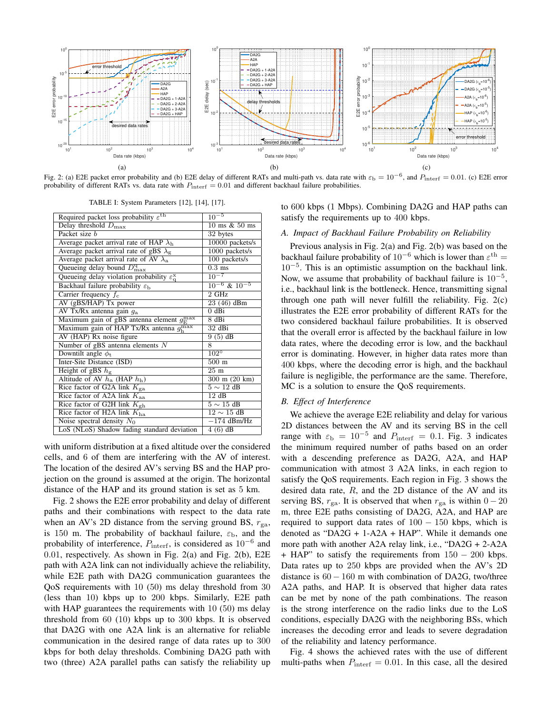

Fig. 2: (a) E2E packet error probability and (b) E2E delay of different RATs and multi-path vs. data rate with  $\varepsilon_{\rm b} = 10^{-6}$ , and  $P_{\rm interf} = 0.01$ . (c) E2E error probability of different RATs vs. data rate with  $P_{\text{interf}} = 0.01$  and different backhaul failure probabilities.

| TABLE I: System Parameters [12], [14], [17]. |  |  |  |
|----------------------------------------------|--|--|--|
|----------------------------------------------|--|--|--|

| Required packet loss probability $\varepsilon^{\text{th}}$      | $10^{-5}$                        |  |
|-----------------------------------------------------------------|----------------------------------|--|
| Delay threshold $D_{\text{max}}$                                | $10 \text{ ms} \& 50 \text{ ms}$ |  |
| Packet size b                                                   | 32 bytes                         |  |
| Average packet arrival rate of HAP $\lambda_h$                  | 10000 packets/s                  |  |
| Average packet arrival rate of gBS $\lambda_{\alpha}$           | 1000 packets/s                   |  |
| Average packet arrival rate of AV $\lambda_a$                   | 100 packets/s                    |  |
| Queueing delay bound $D_{\text{max}}^q$                         | $0.3$ ms                         |  |
| Queueing delay violation probability $\varepsilon_{\alpha}^{x}$ | $10^{-7}$                        |  |
| Backhaul failure probability $\varepsilon_{\rm b}$              | $10^{-6}$ & $10^{-5}$            |  |
| Carrier frequency $f_c$                                         | 2 GHz                            |  |
| AV (gBS/HAP) Tx power                                           | 23 (46) dBm                      |  |
| AV Tx/Rx antenna gain $g_a$                                     | $0$ dBi                          |  |
| Maximum gain of gBS antenna element $g_{\rm E}^{\rm max}$       | 8 dBi                            |  |
| Maximum gain of HAP Tx/Rx antenna $g_h^{\max}$                  | $32 \overline{d}$                |  |
| AV (HAP) Rx noise figure                                        | $9(5)$ dB                        |  |
| Number of gBS antenna elements $N$                              | $\overline{8}$                   |  |
| Downtilt angle $\phi_t$                                         | $102^\circ$                      |  |
| Inter-Site Distance (ISD)                                       | $500$ m                          |  |
| Height of gBS $h_{\rm g}$                                       | 25m                              |  |
| Altitude of AV $h_a$ (HAP $h_b$ )                               | 300 m (20 km)                    |  |
| Rice factor of G2A link $K_{\text{ga}}$                         | $5 \sim 12$ dB                   |  |
| Rice factor of A2A link $K_{aa}$                                | 12dB                             |  |
| Rice factor of G2H link $K_{\rm gh}$                            | $5 \sim 15$ dB                   |  |
| Rice factor of H2A link $K_{\text{ha}}$                         | $12 \sim 15$ dB                  |  |
| Noise spectral density $N_0$                                    | $-174$ dBm/Hz                    |  |
| LoS (NLoS) Shadow fading standard deviation                     | $4(6)$ dB                        |  |

with uniform distribution at a fixed altitude over the considered cells, and 6 of them are interfering with the AV of interest. The location of the desired AV's serving BS and the HAP projection on the ground is assumed at the origin. The horizontal distance of the HAP and its ground station is set as 5 km.

Fig. 2 shows the E2E error probability and delay of different paths and their combinations with respect to the data rate when an AV's 2D distance from the serving ground BS,  $r_{\text{ga}}$ , is 150 m. The probability of backhaul failure,  $\varepsilon_b$ , and the probability of interference,  $P_{\text{interf}}$ , is considered as  $10^{-6}$  and 0.01, respectively. As shown in Fig. 2(a) and Fig. 2(b), E2E path with A2A link can not individually achieve the reliability, while E2E path with DA2G communication guarantees the QoS requirements with 10 (50) ms delay threshold from 30 (less than 10) kbps up to 200 kbps. Similarly, E2E path with HAP guarantees the requirements with 10 (50) ms delay threshold from 60 (10) kbps up to 300 kbps. It is observed that DA2G with one A2A link is an alternative for reliable communication in the desired range of data rates up to 300 kbps for both delay thresholds. Combining DA2G path with two (three) A2A parallel paths can satisfy the reliability up to 600 kbps (1 Mbps). Combining DA2G and HAP paths can satisfy the requirements up to 400 kbps.

## *A. Impact of Backhaul Failure Probability on Reliability*

Previous analysis in Fig. 2(a) and Fig. 2(b) was based on the backhaul failure probability of  $10^{-6}$  which is lower than  $\varepsilon^{\text{th}} =$ 10<sup>−</sup><sup>5</sup> . This is an optimistic assumption on the backhaul link. Now, we assume that probability of backhaul failure is  $10^{-5}$ , i.e., backhaul link is the bottleneck. Hence, transmitting signal through one path will never fulfill the reliability. Fig. 2(c) illustrates the E2E error probability of different RATs for the two considered backhaul failure probabilities. It is observed that the overall error is affected by the backhaul failure in low data rates, where the decoding error is low, and the backhaul error is dominating. However, in higher data rates more than 400 kbps, where the decoding error is high, and the backhaul failure is negligible, the performance are the same. Therefore, MC is a solution to ensure the QoS requirements.

## *B. Effect of Interference*

We achieve the average E2E reliability and delay for various 2D distances between the AV and its serving BS in the cell range with  $\varepsilon_{\rm b} = 10^{-5}$  and  $P_{\rm interf} = 0.1$ . Fig. 3 indicates the minimum required number of paths based on an order with a descending preference as DA2G, A2A, and HAP communication with atmost 3 A2A links, in each region to satisfy the QoS requirements. Each region in Fig. 3 shows the desired data rate, R, and the 2D distance of the AV and its serving BS,  $r_{\text{ga}}$ . It is observed that when  $r_{\text{ga}}$  is within  $0 - 20$ m, three E2E paths consisting of DA2G, A2A, and HAP are required to support data rates of  $100 - 150$  kbps, which is denoted as "DA2G + 1-A2A + HAP". While it demands one more path with another A2A relay link, i.e., "DA2G + 2-A2A + HAP" to satisfy the requirements from  $150 - 200$  kbps. Data rates up to 250 kbps are provided when the AV's 2D distance is  $60 - 160$  m with combination of DA2G, two/three A2A paths, and HAP. It is observed that higher data rates can be met by none of the path combinations. The reason is the strong interference on the radio links due to the LoS conditions, especially DA2G with the neighboring BSs, which increases the decoding error and leads to severe degradation of the reliability and latency performance.

Fig. 4 shows the achieved rates with the use of different multi-paths when  $P_{\text{interf}} = 0.01$ . In this case, all the desired